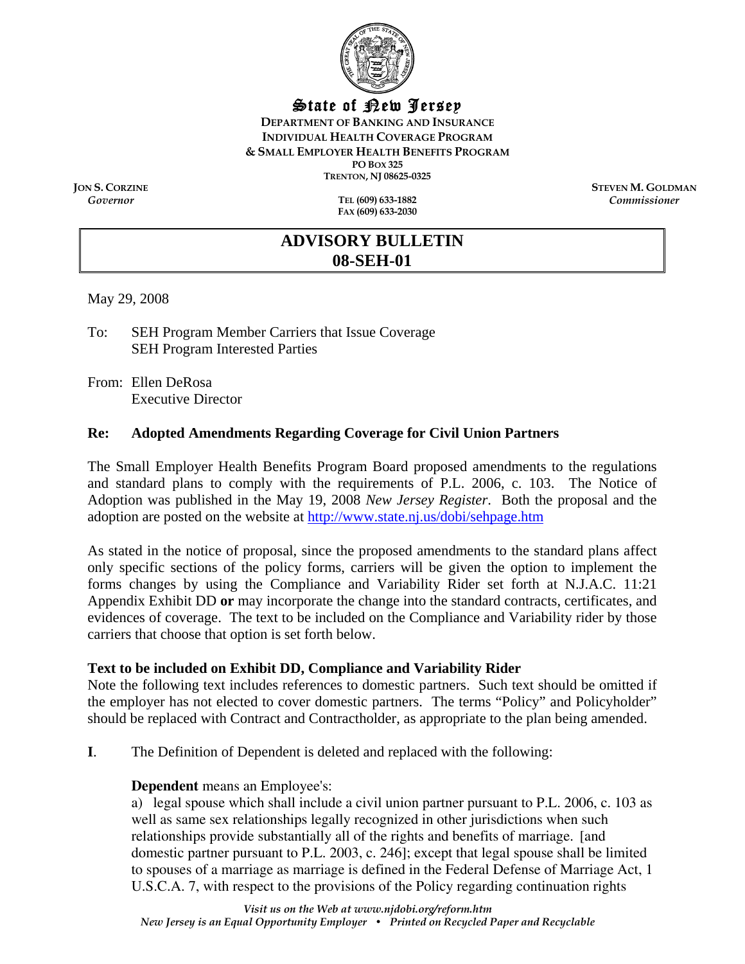

## State of New Jersey

**DEPARTMENT OF BANKING AND INSURANCE INDIVIDUAL HEALTH COVERAGE PROGRAM & SMALL EMPLOYER HEALTH BENEFITS PROGRAM PO BOX 325 TRENTON, NJ 08625-0325** 

*Governor* **TEL (609) 633-1882 FAX (609) 633-2030** 

**JON S. CORZINE**<br> **STEVEN M. GOLDMAN**<br> **STEVEN M. GOLDMAN**<br> **STEVEN M. GOLDMAN** *Commissioner* 

# **ADVISORY BULLETIN 08-SEH-01**

May 29, 2008

To: SEH Program Member Carriers that Issue Coverage SEH Program Interested Parties

From: Ellen DeRosa Executive Director

#### **Re: Adopted Amendments Regarding Coverage for Civil Union Partners**

The Small Employer Health Benefits Program Board proposed amendments to the regulations and standard plans to comply with the requirements of P.L. 2006, c. 103. The Notice of Adoption was published in the May 19, 2008 *New Jersey Register*. Both the proposal and the adoption are posted on the website at <http://www.state.nj.us/dobi/sehpage.htm>

As stated in the notice of proposal, since the proposed amendments to the standard plans affect only specific sections of the policy forms, carriers will be given the option to implement the forms changes by using the Compliance and Variability Rider set forth at N.J.A.C. 11:21 Appendix Exhibit DD **or** may incorporate the change into the standard contracts, certificates, and evidences of coverage. The text to be included on the Compliance and Variability rider by those carriers that choose that option is set forth below.

#### **Text to be included on Exhibit DD, Compliance and Variability Rider**

Note the following text includes references to domestic partners. Such text should be omitted if the employer has not elected to cover domestic partners. The terms "Policy" and Policyholder" should be replaced with Contract and Contractholder, as appropriate to the plan being amended.

**I**. The Definition of Dependent is deleted and replaced with the following:

## **Dependent** means an Employee's:

a) legal spouse which shall include a civil union partner pursuant to P.L. 2006, c. 103 as well as same sex relationships legally recognized in other jurisdictions when such relationships provide substantially all of the rights and benefits of marriage. [and domestic partner pursuant to P.L. 2003, c. 246]; except that legal spouse shall be limited to spouses of a marriage as marriage is defined in the Federal Defense of Marriage Act, 1 U.S.C.A. 7, with respect to the provisions of the Policy regarding continuation rights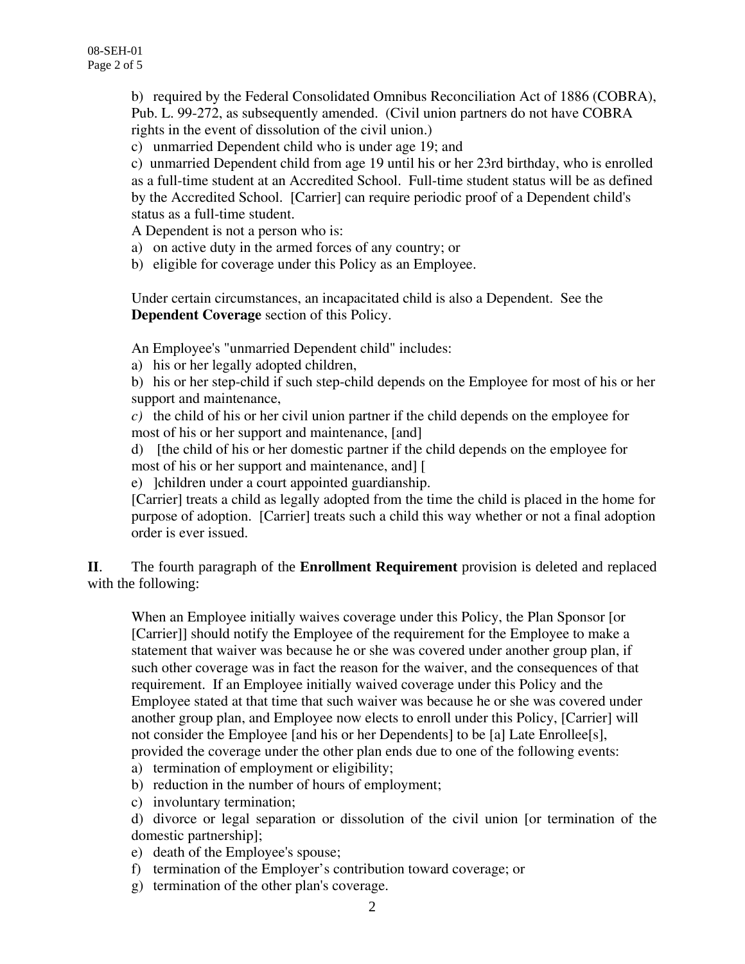b) required by the Federal Consolidated Omnibus Reconciliation Act of 1886 (COBRA), Pub. L. 99-272, as subsequently amended. (Civil union partners do not have COBRA rights in the event of dissolution of the civil union.)

c) unmarried Dependent child who is under age 19; and

c) unmarried Dependent child from age 19 until his or her 23rd birthday, who is enrolled as a full-time student at an Accredited School. Full-time student status will be as defined by the Accredited School. [Carrier] can require periodic proof of a Dependent child's status as a full-time student.

A Dependent is not a person who is:

a) on active duty in the armed forces of any country; or

b) eligible for coverage under this Policy as an Employee.

Under certain circumstances, an incapacitated child is also a Dependent. See the **Dependent Coverage** section of this Policy.

An Employee's "unmarried Dependent child" includes:

a) his or her legally adopted children,

b) his or her step-child if such step-child depends on the Employee for most of his or her support and maintenance,

*c)* the child of his or her civil union partner if the child depends on the employee for most of his or her support and maintenance, [and]

d) [the child of his or her domestic partner if the child depends on the employee for most of his or her support and maintenance, and] [

e) ]children under a court appointed guardianship.

[Carrier] treats a child as legally adopted from the time the child is placed in the home for purpose of adoption. [Carrier] treats such a child this way whether or not a final adoption order is ever issued.

**II**. The fourth paragraph of the **Enrollment Requirement** provision is deleted and replaced with the following:

When an Employee initially waives coverage under this Policy, the Plan Sponsor [or [Carrier]] should notify the Employee of the requirement for the Employee to make a statement that waiver was because he or she was covered under another group plan, if such other coverage was in fact the reason for the waiver, and the consequences of that requirement. If an Employee initially waived coverage under this Policy and the Employee stated at that time that such waiver was because he or she was covered under another group plan, and Employee now elects to enroll under this Policy, [Carrier] will not consider the Employee [and his or her Dependents] to be [a] Late Enrollee[s], provided the coverage under the other plan ends due to one of the following events:

- a) termination of employment or eligibility;
- b) reduction in the number of hours of employment;
- c) involuntary termination;

d) divorce or legal separation or dissolution of the civil union [or termination of the domestic partnership];

- e) death of the Employee's spouse;
- f) termination of the Employer's contribution toward coverage; or
- g) termination of the other plan's coverage.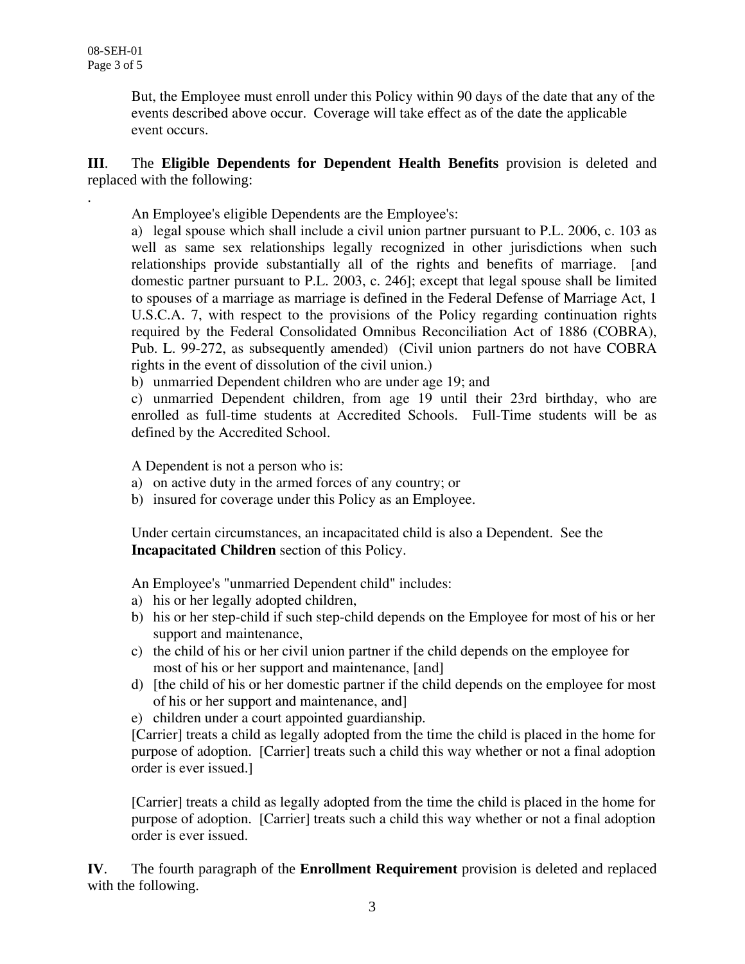.

But, the Employee must enroll under this Policy within 90 days of the date that any of the events described above occur. Coverage will take effect as of the date the applicable event occurs.

## **III**. The **Eligible Dependents for Dependent Health Benefits** provision is deleted and replaced with the following:

An Employee's eligible Dependents are the Employee's:

a) legal spouse which shall include a civil union partner pursuant to P.L. 2006, c. 103 as well as same sex relationships legally recognized in other jurisdictions when such relationships provide substantially all of the rights and benefits of marriage. [and domestic partner pursuant to P.L. 2003, c. 246]; except that legal spouse shall be limited to spouses of a marriage as marriage is defined in the Federal Defense of Marriage Act, 1 U.S.C.A. 7, with respect to the provisions of the Policy regarding continuation rights required by the Federal Consolidated Omnibus Reconciliation Act of 1886 (COBRA), Pub. L. 99-272, as subsequently amended) (Civil union partners do not have COBRA rights in the event of dissolution of the civil union.)

b) unmarried Dependent children who are under age 19; and

c) unmarried Dependent children, from age 19 until their 23rd birthday, who are enrolled as full-time students at Accredited Schools. Full-Time students will be as defined by the Accredited School.

A Dependent is not a person who is:

- a) on active duty in the armed forces of any country; or
- b) insured for coverage under this Policy as an Employee.

Under certain circumstances, an incapacitated child is also a Dependent. See the **Incapacitated Children** section of this Policy.

An Employee's "unmarried Dependent child" includes:

- a) his or her legally adopted children,
- b) his or her step-child if such step-child depends on the Employee for most of his or her support and maintenance,
- c) the child of his or her civil union partner if the child depends on the employee for most of his or her support and maintenance, [and]
- d) [the child of his or her domestic partner if the child depends on the employee for most of his or her support and maintenance, and]
- e) children under a court appointed guardianship.

[Carrier] treats a child as legally adopted from the time the child is placed in the home for purpose of adoption. [Carrier] treats such a child this way whether or not a final adoption order is ever issued.]

[Carrier] treats a child as legally adopted from the time the child is placed in the home for purpose of adoption. [Carrier] treats such a child this way whether or not a final adoption order is ever issued.

**IV**. The fourth paragraph of the **Enrollment Requirement** provision is deleted and replaced with the following.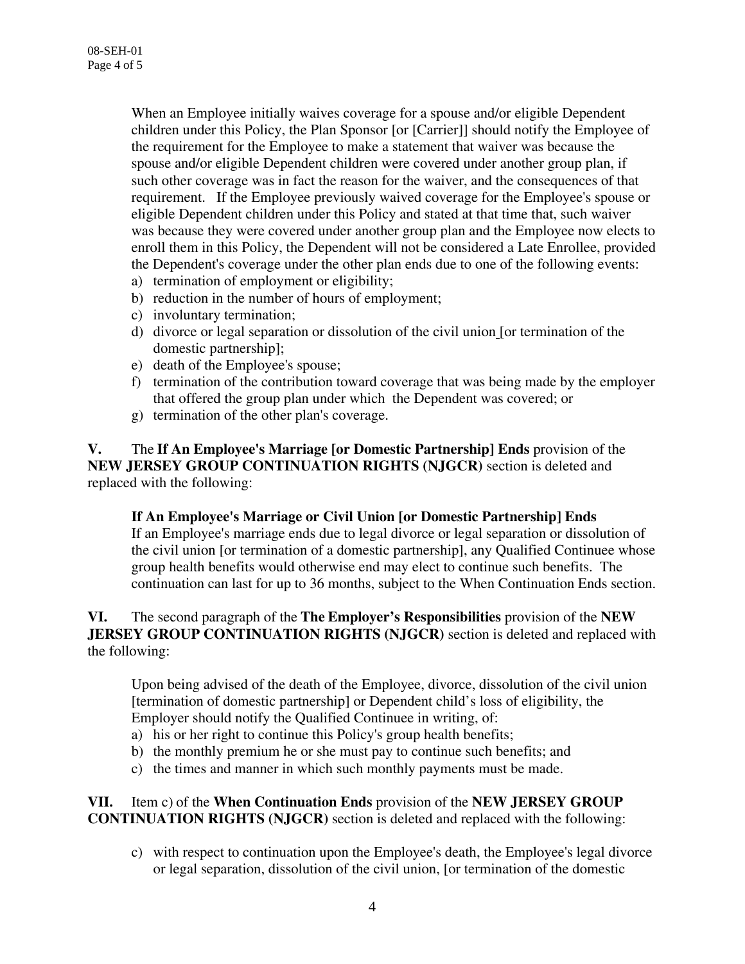When an Employee initially waives coverage for a spouse and/or eligible Dependent children under this Policy, the Plan Sponsor [or [Carrier]] should notify the Employee of the requirement for the Employee to make a statement that waiver was because the spouse and/or eligible Dependent children were covered under another group plan, if such other coverage was in fact the reason for the waiver, and the consequences of that requirement. If the Employee previously waived coverage for the Employee's spouse or eligible Dependent children under this Policy and stated at that time that, such waiver was because they were covered under another group plan and the Employee now elects to enroll them in this Policy, the Dependent will not be considered a Late Enrollee, provided the Dependent's coverage under the other plan ends due to one of the following events:

- a) termination of employment or eligibility;
- b) reduction in the number of hours of employment;
- c) involuntary termination;
- d) divorce or legal separation or dissolution of the civil union [or termination of the domestic partnership];
- e) death of the Employee's spouse;
- f) termination of the contribution toward coverage that was being made by the employer that offered the group plan under which the Dependent was covered; or
- g) termination of the other plan's coverage.

**V.** The **If An Employee's Marriage [or Domestic Partnership] Ends** provision of the **NEW JERSEY GROUP CONTINUATION RIGHTS (NJGCR)** section is deleted and replaced with the following:

#### **If An Employee's Marriage or Civil Union [or Domestic Partnership] Ends**

If an Employee's marriage ends due to legal divorce or legal separation or dissolution of the civil union [or termination of a domestic partnership], any Qualified Continuee whose group health benefits would otherwise end may elect to continue such benefits. The continuation can last for up to 36 months, subject to the When Continuation Ends section.

## **VI.** The second paragraph of the **The Employer's Responsibilities** provision of the **NEW JERSEY GROUP CONTINUATION RIGHTS (NJGCR)** section is deleted and replaced with the following:

Upon being advised of the death of the Employee, divorce, dissolution of the civil union [termination of domestic partnership] or Dependent child's loss of eligibility, the Employer should notify the Qualified Continuee in writing, of:

- a) his or her right to continue this Policy's group health benefits;
- b) the monthly premium he or she must pay to continue such benefits; and
- c) the times and manner in which such monthly payments must be made.

#### **VII.** Item c) of the **When Continuation Ends** provision of the **NEW JERSEY GROUP CONTINUATION RIGHTS (NJGCR)** section is deleted and replaced with the following:

c) with respect to continuation upon the Employee's death, the Employee's legal divorce or legal separation, dissolution of the civil union, [or termination of the domestic